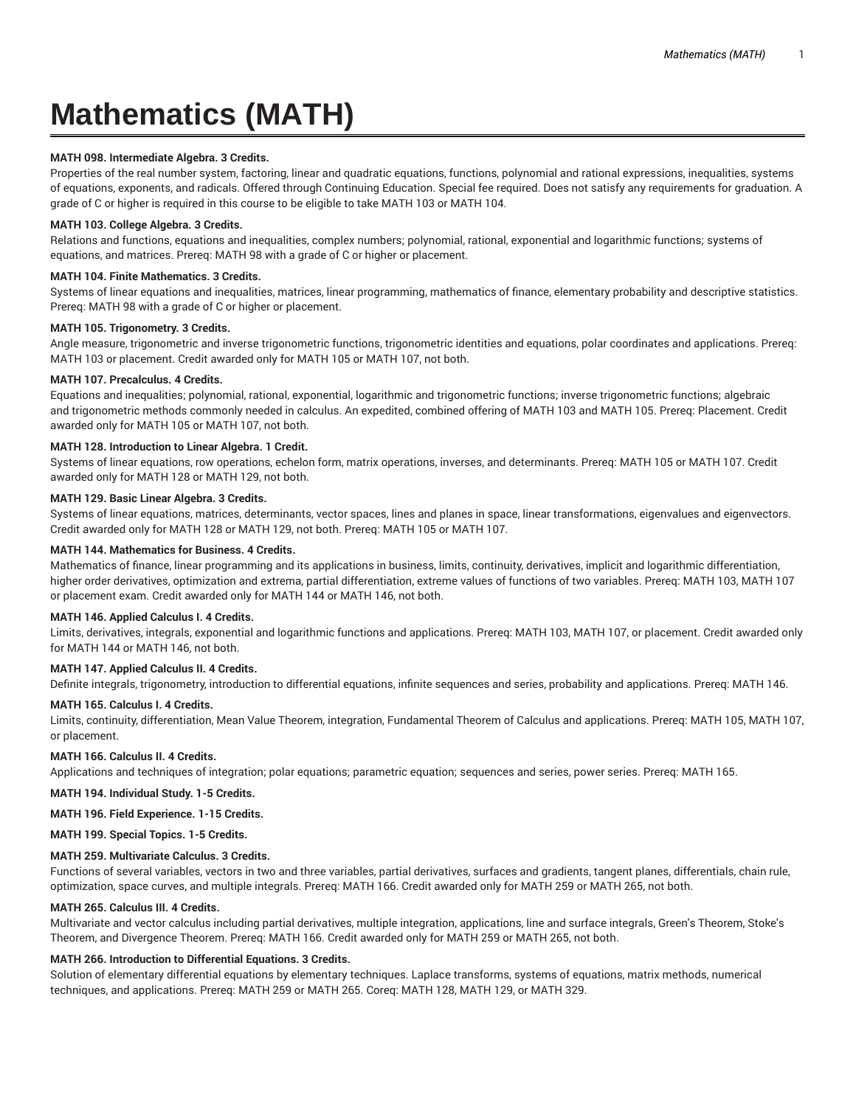# **Mathematics (MATH)**

# **MATH 098. Intermediate Algebra. 3 Credits.**

Properties of the real number system, factoring, linear and quadratic equations, functions, polynomial and rational expressions, inequalities, systems of equations, exponents, and radicals. Offered through Continuing Education. Special fee required. Does not satisfy any requirements for graduation. A grade of C or higher is required in this course to be eligible to take MATH 103 or MATH 104.

## **MATH 103. College Algebra. 3 Credits.**

Relations and functions, equations and inequalities, complex numbers; polynomial, rational, exponential and logarithmic functions; systems of equations, and matrices. Prereq: MATH 98 with a grade of C or higher or placement.

# **MATH 104. Finite Mathematics. 3 Credits.**

Systems of linear equations and inequalities, matrices, linear programming, mathematics of finance, elementary probability and descriptive statistics. Prereq: MATH 98 with a grade of C or higher or placement.

# **MATH 105. Trigonometry. 3 Credits.**

Angle measure, trigonometric and inverse trigonometric functions, trigonometric identities and equations, polar coordinates and applications. Prereq: MATH 103 or placement. Credit awarded only for MATH 105 or MATH 107, not both.

## **MATH 107. Precalculus. 4 Credits.**

Equations and inequalities; polynomial, rational, exponential, logarithmic and trigonometric functions; inverse trigonometric functions; algebraic and trigonometric methods commonly needed in calculus. An expedited, combined offering of MATH 103 and MATH 105. Prereq: Placement. Credit awarded only for MATH 105 or MATH 107, not both.

# **MATH 128. Introduction to Linear Algebra. 1 Credit.**

Systems of linear equations, row operations, echelon form, matrix operations, inverses, and determinants. Prereq: MATH 105 or MATH 107. Credit awarded only for MATH 128 or MATH 129, not both.

## **MATH 129. Basic Linear Algebra. 3 Credits.**

Systems of linear equations, matrices, determinants, vector spaces, lines and planes in space, linear transformations, eigenvalues and eigenvectors. Credit awarded only for MATH 128 or MATH 129, not both. Prereq: MATH 105 or MATH 107.

## **MATH 144. Mathematics for Business. 4 Credits.**

Mathematics of finance, linear programming and its applications in business, limits, continuity, derivatives, implicit and logarithmic differentiation, higher order derivatives, optimization and extrema, partial differentiation, extreme values of functions of two variables. Prereq: MATH 103, MATH 107 or placement exam. Credit awarded only for MATH 144 or MATH 146, not both.

## **MATH 146. Applied Calculus I. 4 Credits.**

Limits, derivatives, integrals, exponential and logarithmic functions and applications. Prereq: MATH 103, MATH 107, or placement. Credit awarded only for MATH 144 or MATH 146, not both.

# **MATH 147. Applied Calculus II. 4 Credits.**

Definite integrals, trigonometry, introduction to differential equations, infinite sequences and series, probability and applications. Prereq: MATH 146.

# **MATH 165. Calculus I. 4 Credits.**

Limits, continuity, differentiation, Mean Value Theorem, integration, Fundamental Theorem of Calculus and applications. Prereq: MATH 105, MATH 107, or placement.

## **MATH 166. Calculus II. 4 Credits.**

Applications and techniques of integration; polar equations; parametric equation; sequences and series, power series. Prereq: MATH 165.

**MATH 194. Individual Study. 1-5 Credits.**

**MATH 196. Field Experience. 1-15 Credits.**

**MATH 199. Special Topics. 1-5 Credits.**

## **MATH 259. Multivariate Calculus. 3 Credits.**

Functions of several variables, vectors in two and three variables, partial derivatives, surfaces and gradients, tangent planes, differentials, chain rule, optimization, space curves, and multiple integrals. Prereq: MATH 166. Credit awarded only for MATH 259 or MATH 265, not both.

## **MATH 265. Calculus III. 4 Credits.**

Multivariate and vector calculus including partial derivatives, multiple integration, applications, line and surface integrals, Green's Theorem, Stoke's Theorem, and Divergence Theorem. Prereq: MATH 166. Credit awarded only for MATH 259 or MATH 265, not both.

# **MATH 266. Introduction to Differential Equations. 3 Credits.**

Solution of elementary differential equations by elementary techniques. Laplace transforms, systems of equations, matrix methods, numerical techniques, and applications. Prereq: MATH 259 or MATH 265. Coreq: MATH 128, MATH 129, or MATH 329.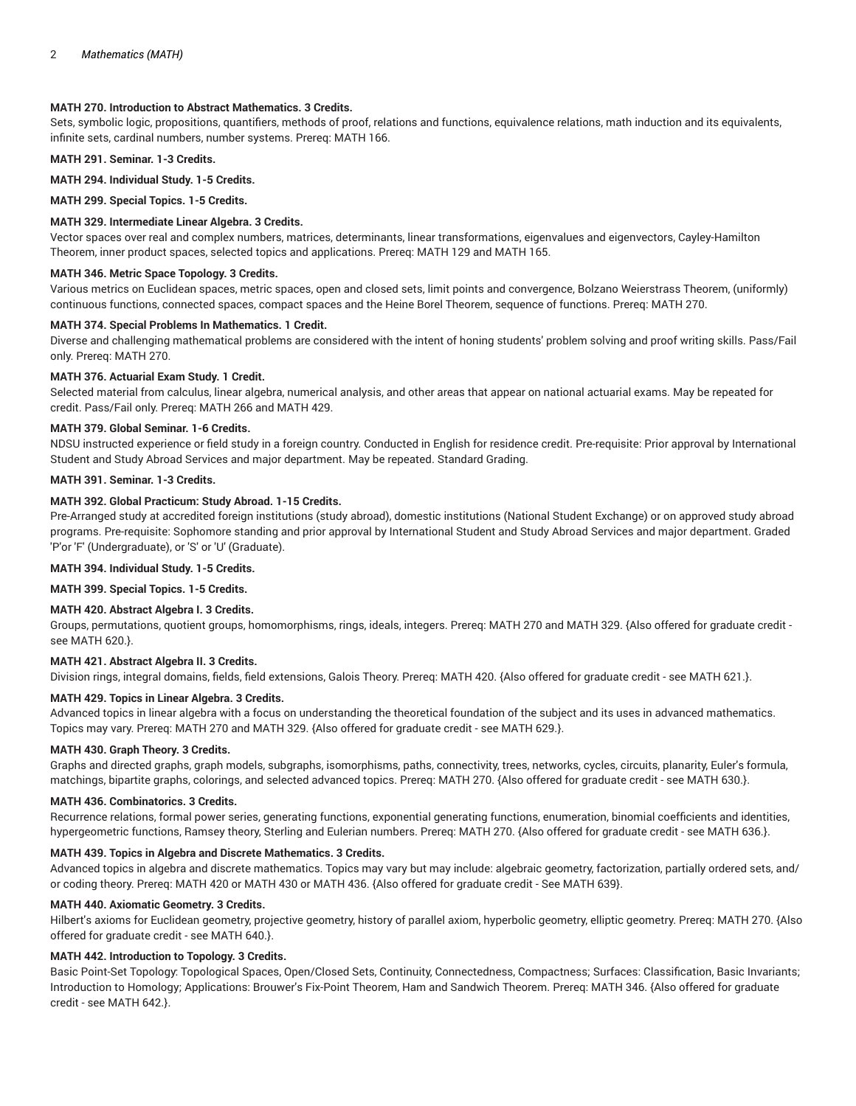# **MATH 270. Introduction to Abstract Mathematics. 3 Credits.**

Sets, symbolic logic, propositions, quantifiers, methods of proof, relations and functions, equivalence relations, math induction and its equivalents, infinite sets, cardinal numbers, number systems. Prereq: MATH 166.

**MATH 291. Seminar. 1-3 Credits.**

**MATH 294. Individual Study. 1-5 Credits.**

**MATH 299. Special Topics. 1-5 Credits.**

# **MATH 329. Intermediate Linear Algebra. 3 Credits.**

Vector spaces over real and complex numbers, matrices, determinants, linear transformations, eigenvalues and eigenvectors, Cayley-Hamilton Theorem, inner product spaces, selected topics and applications. Prereq: MATH 129 and MATH 165.

## **MATH 346. Metric Space Topology. 3 Credits.**

Various metrics on Euclidean spaces, metric spaces, open and closed sets, limit points and convergence, Bolzano Weierstrass Theorem, (uniformly) continuous functions, connected spaces, compact spaces and the Heine Borel Theorem, sequence of functions. Prereq: MATH 270.

#### **MATH 374. Special Problems In Mathematics. 1 Credit.**

Diverse and challenging mathematical problems are considered with the intent of honing students' problem solving and proof writing skills. Pass/Fail only. Prereq: MATH 270.

#### **MATH 376. Actuarial Exam Study. 1 Credit.**

Selected material from calculus, linear algebra, numerical analysis, and other areas that appear on national actuarial exams. May be repeated for credit. Pass/Fail only. Prereq: MATH 266 and MATH 429.

# **MATH 379. Global Seminar. 1-6 Credits.**

NDSU instructed experience or field study in a foreign country. Conducted in English for residence credit. Pre-requisite: Prior approval by International Student and Study Abroad Services and major department. May be repeated. Standard Grading.

#### **MATH 391. Seminar. 1-3 Credits.**

#### **MATH 392. Global Practicum: Study Abroad. 1-15 Credits.**

Pre-Arranged study at accredited foreign institutions (study abroad), domestic institutions (National Student Exchange) or on approved study abroad programs. Pre-requisite: Sophomore standing and prior approval by International Student and Study Abroad Services and major department. Graded 'P'or 'F' (Undergraduate), or 'S' or 'U' (Graduate).

## **MATH 394. Individual Study. 1-5 Credits.**

**MATH 399. Special Topics. 1-5 Credits.**

## **MATH 420. Abstract Algebra I. 3 Credits.**

Groups, permutations, quotient groups, homomorphisms, rings, ideals, integers. Prereq: MATH 270 and MATH 329. {Also offered for graduate credit see MATH 620.}.

#### **MATH 421. Abstract Algebra II. 3 Credits.**

Division rings, integral domains, fields, field extensions, Galois Theory. Prereq: MATH 420. {Also offered for graduate credit - see MATH 621.}.

# **MATH 429. Topics in Linear Algebra. 3 Credits.**

Advanced topics in linear algebra with a focus on understanding the theoretical foundation of the subject and its uses in advanced mathematics. Topics may vary. Prereq: MATH 270 and MATH 329. {Also offered for graduate credit - see MATH 629.}.

#### **MATH 430. Graph Theory. 3 Credits.**

Graphs and directed graphs, graph models, subgraphs, isomorphisms, paths, connectivity, trees, networks, cycles, circuits, planarity, Euler's formula, matchings, bipartite graphs, colorings, and selected advanced topics. Prereq: MATH 270. {Also offered for graduate credit - see MATH 630.}.

#### **MATH 436. Combinatorics. 3 Credits.**

Recurrence relations, formal power series, generating functions, exponential generating functions, enumeration, binomial coefficients and identities, hypergeometric functions, Ramsey theory, Sterling and Eulerian numbers. Prereq: MATH 270. {Also offered for graduate credit - see MATH 636.}.

#### **MATH 439. Topics in Algebra and Discrete Mathematics. 3 Credits.**

Advanced topics in algebra and discrete mathematics. Topics may vary but may include: algebraic geometry, factorization, partially ordered sets, and/ or coding theory. Prereq: MATH 420 or MATH 430 or MATH 436. {Also offered for graduate credit - See MATH 639}.

#### **MATH 440. Axiomatic Geometry. 3 Credits.**

Hilbert's axioms for Euclidean geometry, projective geometry, history of parallel axiom, hyperbolic geometry, elliptic geometry. Prereq: MATH 270. {Also offered for graduate credit - see MATH 640.}.

## **MATH 442. Introduction to Topology. 3 Credits.**

Basic Point-Set Topology: Topological Spaces, Open/Closed Sets, Continuity, Connectedness, Compactness; Surfaces: Classification, Basic Invariants; Introduction to Homology; Applications: Brouwer's Fix-Point Theorem, Ham and Sandwich Theorem. Prereq: MATH 346. {Also offered for graduate credit - see MATH 642.}.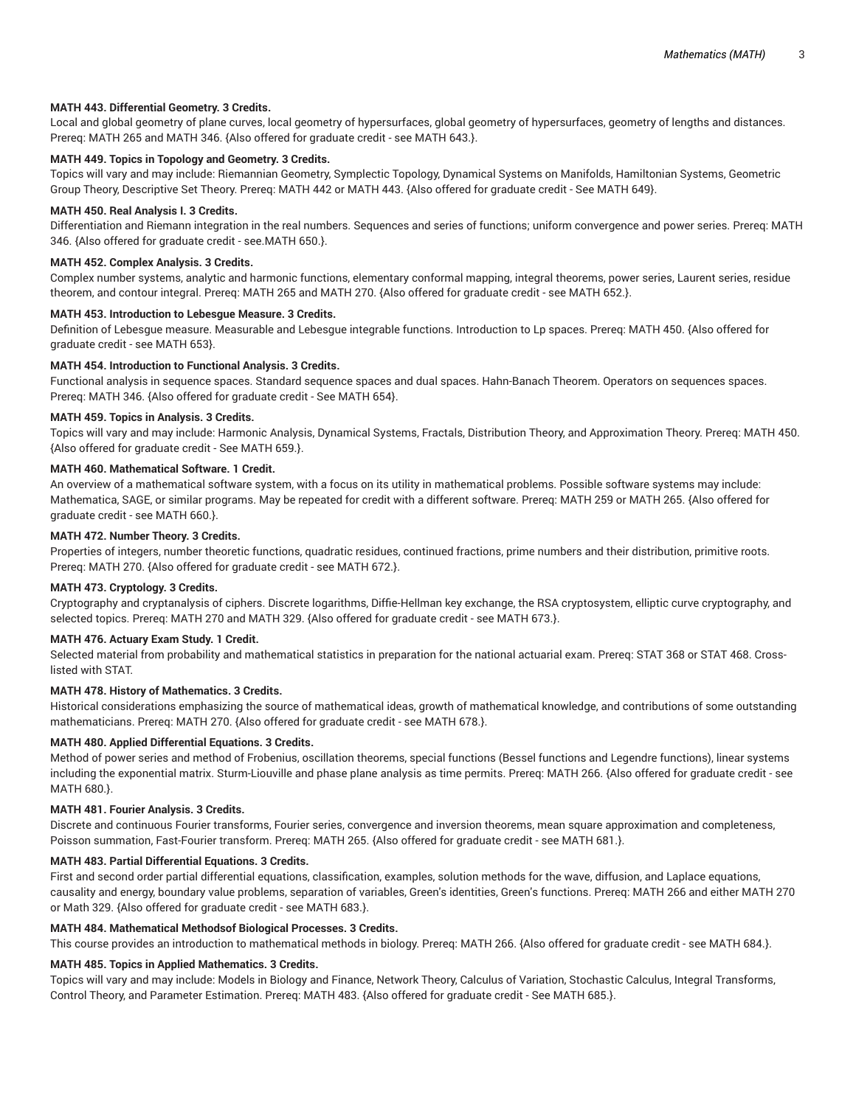## **MATH 443. Differential Geometry. 3 Credits.**

Local and global geometry of plane curves, local geometry of hypersurfaces, global geometry of hypersurfaces, geometry of lengths and distances. Prereq: MATH 265 and MATH 346. {Also offered for graduate credit - see MATH 643.}.

## **MATH 449. Topics in Topology and Geometry. 3 Credits.**

Topics will vary and may include: Riemannian Geometry, Symplectic Topology, Dynamical Systems on Manifolds, Hamiltonian Systems, Geometric Group Theory, Descriptive Set Theory. Prereq: MATH 442 or MATH 443. {Also offered for graduate credit - See MATH 649}.

#### **MATH 450. Real Analysis I. 3 Credits.**

Differentiation and Riemann integration in the real numbers. Sequences and series of functions; uniform convergence and power series. Prereq: MATH 346. {Also offered for graduate credit - see.MATH 650.}.

### **MATH 452. Complex Analysis. 3 Credits.**

Complex number systems, analytic and harmonic functions, elementary conformal mapping, integral theorems, power series, Laurent series, residue theorem, and contour integral. Prereq: MATH 265 and MATH 270. {Also offered for graduate credit - see MATH 652.}.

#### **MATH 453. Introduction to Lebesgue Measure. 3 Credits.**

Definition of Lebesgue measure. Measurable and Lebesgue integrable functions. Introduction to Lp spaces. Prereq: MATH 450. {Also offered for graduate credit - see MATH 653}.

#### **MATH 454. Introduction to Functional Analysis. 3 Credits.**

Functional analysis in sequence spaces. Standard sequence spaces and dual spaces. Hahn-Banach Theorem. Operators on sequences spaces. Prereq: MATH 346. {Also offered for graduate credit - See MATH 654}.

### **MATH 459. Topics in Analysis. 3 Credits.**

Topics will vary and may include: Harmonic Analysis, Dynamical Systems, Fractals, Distribution Theory, and Approximation Theory. Prereq: MATH 450. {Also offered for graduate credit - See MATH 659.}.

# **MATH 460. Mathematical Software. 1 Credit.**

An overview of a mathematical software system, with a focus on its utility in mathematical problems. Possible software systems may include: Mathematica, SAGE, or similar programs. May be repeated for credit with a different software. Prereq: MATH 259 or MATH 265. {Also offered for graduate credit - see MATH 660.}.

#### **MATH 472. Number Theory. 3 Credits.**

Properties of integers, number theoretic functions, quadratic residues, continued fractions, prime numbers and their distribution, primitive roots. Prereq: MATH 270. {Also offered for graduate credit - see MATH 672.}.

#### **MATH 473. Cryptology. 3 Credits.**

Cryptography and cryptanalysis of ciphers. Discrete logarithms, Diffie-Hellman key exchange, the RSA cryptosystem, elliptic curve cryptography, and selected topics. Prereq: MATH 270 and MATH 329. {Also offered for graduate credit - see MATH 673.}.

## **MATH 476. Actuary Exam Study. 1 Credit.**

Selected material from probability and mathematical statistics in preparation for the national actuarial exam. Prereq: STAT 368 or STAT 468. Crosslisted with STAT.

# **MATH 478. History of Mathematics. 3 Credits.**

Historical considerations emphasizing the source of mathematical ideas, growth of mathematical knowledge, and contributions of some outstanding mathematicians. Prereq: MATH 270. {Also offered for graduate credit - see MATH 678.}.

#### **MATH 480. Applied Differential Equations. 3 Credits.**

Method of power series and method of Frobenius, oscillation theorems, special functions (Bessel functions and Legendre functions), linear systems including the exponential matrix. Sturm-Liouville and phase plane analysis as time permits. Prereq: MATH 266. {Also offered for graduate credit - see MATH 680.}.

#### **MATH 481. Fourier Analysis. 3 Credits.**

Discrete and continuous Fourier transforms, Fourier series, convergence and inversion theorems, mean square approximation and completeness, Poisson summation, Fast-Fourier transform. Prereq: MATH 265. {Also offered for graduate credit - see MATH 681.}.

## **MATH 483. Partial Differential Equations. 3 Credits.**

First and second order partial differential equations, classification, examples, solution methods for the wave, diffusion, and Laplace equations, causality and energy, boundary value problems, separation of variables, Green's identities, Green's functions. Prereq: MATH 266 and either MATH 270 or Math 329. {Also offered for graduate credit - see MATH 683.}.

#### **MATH 484. Mathematical Methodsof Biological Processes. 3 Credits.**

This course provides an introduction to mathematical methods in biology. Prereq: MATH 266. {Also offered for graduate credit - see MATH 684.}.

## **MATH 485. Topics in Applied Mathematics. 3 Credits.**

Topics will vary and may include: Models in Biology and Finance, Network Theory, Calculus of Variation, Stochastic Calculus, Integral Transforms, Control Theory, and Parameter Estimation. Prereq: MATH 483. {Also offered for graduate credit - See MATH 685.}.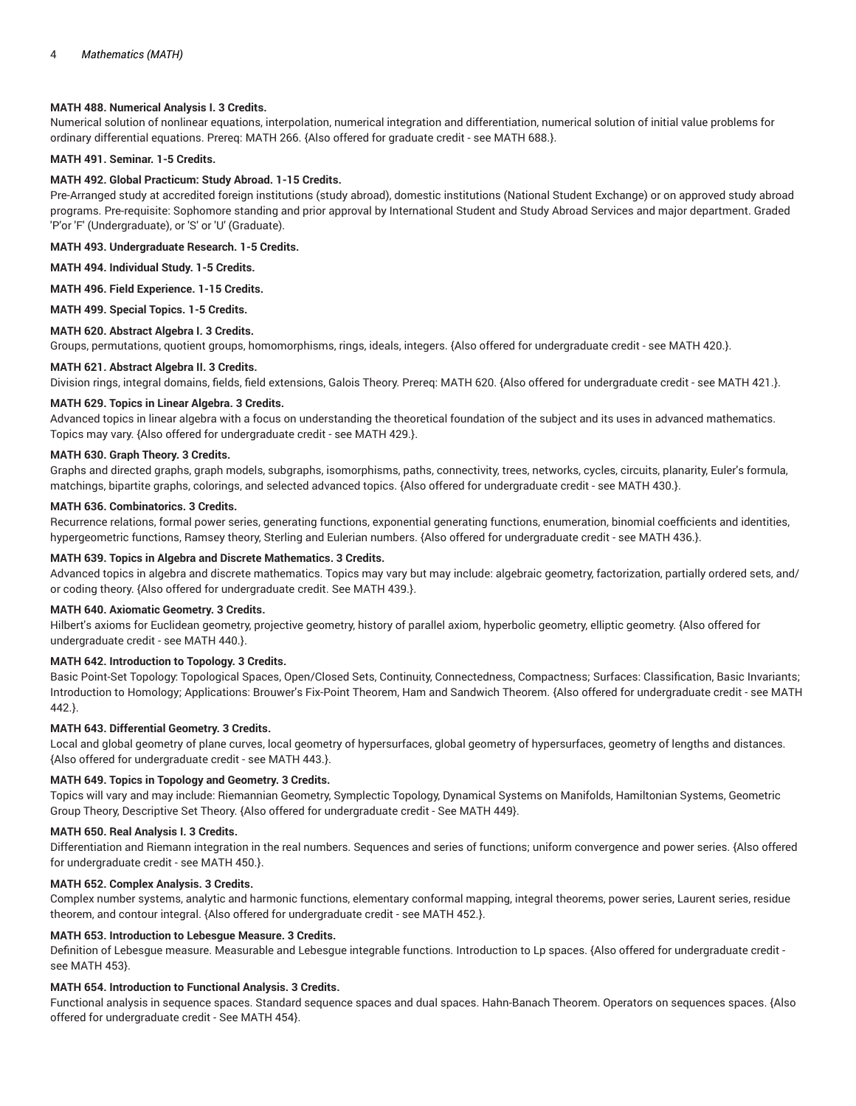## **MATH 488. Numerical Analysis I. 3 Credits.**

Numerical solution of nonlinear equations, interpolation, numerical integration and differentiation, numerical solution of initial value problems for ordinary differential equations. Prereq: MATH 266. {Also offered for graduate credit - see MATH 688.}.

# **MATH 491. Seminar. 1-5 Credits.**

#### **MATH 492. Global Practicum: Study Abroad. 1-15 Credits.**

Pre-Arranged study at accredited foreign institutions (study abroad), domestic institutions (National Student Exchange) or on approved study abroad programs. Pre-requisite: Sophomore standing and prior approval by International Student and Study Abroad Services and major department. Graded 'P'or 'F' (Undergraduate), or 'S' or 'U' (Graduate).

**MATH 493. Undergraduate Research. 1-5 Credits.**

**MATH 494. Individual Study. 1-5 Credits.**

**MATH 496. Field Experience. 1-15 Credits.**

**MATH 499. Special Topics. 1-5 Credits.**

## **MATH 620. Abstract Algebra I. 3 Credits.**

Groups, permutations, quotient groups, homomorphisms, rings, ideals, integers. {Also offered for undergraduate credit - see MATH 420.}.

## **MATH 621. Abstract Algebra II. 3 Credits.**

Division rings, integral domains, fields, field extensions, Galois Theory. Prereq: MATH 620. {Also offered for undergraduate credit - see MATH 421.}.

## **MATH 629. Topics in Linear Algebra. 3 Credits.**

Advanced topics in linear algebra with a focus on understanding the theoretical foundation of the subject and its uses in advanced mathematics. Topics may vary. {Also offered for undergraduate credit - see MATH 429.}.

## **MATH 630. Graph Theory. 3 Credits.**

Graphs and directed graphs, graph models, subgraphs, isomorphisms, paths, connectivity, trees, networks, cycles, circuits, planarity, Euler's formula, matchings, bipartite graphs, colorings, and selected advanced topics. {Also offered for undergraduate credit - see MATH 430.}.

#### **MATH 636. Combinatorics. 3 Credits.**

Recurrence relations, formal power series, generating functions, exponential generating functions, enumeration, binomial coefficients and identities, hypergeometric functions, Ramsey theory, Sterling and Eulerian numbers. {Also offered for undergraduate credit - see MATH 436.}.

## **MATH 639. Topics in Algebra and Discrete Mathematics. 3 Credits.**

Advanced topics in algebra and discrete mathematics. Topics may vary but may include: algebraic geometry, factorization, partially ordered sets, and/ or coding theory. {Also offered for undergraduate credit. See MATH 439.}.

#### **MATH 640. Axiomatic Geometry. 3 Credits.**

Hilbert's axioms for Euclidean geometry, projective geometry, history of parallel axiom, hyperbolic geometry, elliptic geometry. {Also offered for undergraduate credit - see MATH 440.}.

## **MATH 642. Introduction to Topology. 3 Credits.**

Basic Point-Set Topology: Topological Spaces, Open/Closed Sets, Continuity, Connectedness, Compactness; Surfaces: Classification, Basic Invariants; Introduction to Homology; Applications: Brouwer's Fix-Point Theorem, Ham and Sandwich Theorem. {Also offered for undergraduate credit - see MATH 442.}.

## **MATH 643. Differential Geometry. 3 Credits.**

Local and global geometry of plane curves, local geometry of hypersurfaces, global geometry of hypersurfaces, geometry of lengths and distances. {Also offered for undergraduate credit - see MATH 443.}.

#### **MATH 649. Topics in Topology and Geometry. 3 Credits.**

Topics will vary and may include: Riemannian Geometry, Symplectic Topology, Dynamical Systems on Manifolds, Hamiltonian Systems, Geometric Group Theory, Descriptive Set Theory. {Also offered for undergraduate credit - See MATH 449}.

#### **MATH 650. Real Analysis I. 3 Credits.**

Differentiation and Riemann integration in the real numbers. Sequences and series of functions; uniform convergence and power series. {Also offered for undergraduate credit - see MATH 450.}.

## **MATH 652. Complex Analysis. 3 Credits.**

Complex number systems, analytic and harmonic functions, elementary conformal mapping, integral theorems, power series, Laurent series, residue theorem, and contour integral. {Also offered for undergraduate credit - see MATH 452.}.

## **MATH 653. Introduction to Lebesgue Measure. 3 Credits.**

Definition of Lebesgue measure. Measurable and Lebesgue integrable functions. Introduction to Lp spaces. {Also offered for undergraduate credit see MATH 453}.

## **MATH 654. Introduction to Functional Analysis. 3 Credits.**

Functional analysis in sequence spaces. Standard sequence spaces and dual spaces. Hahn-Banach Theorem. Operators on sequences spaces. {Also offered for undergraduate credit - See MATH 454}.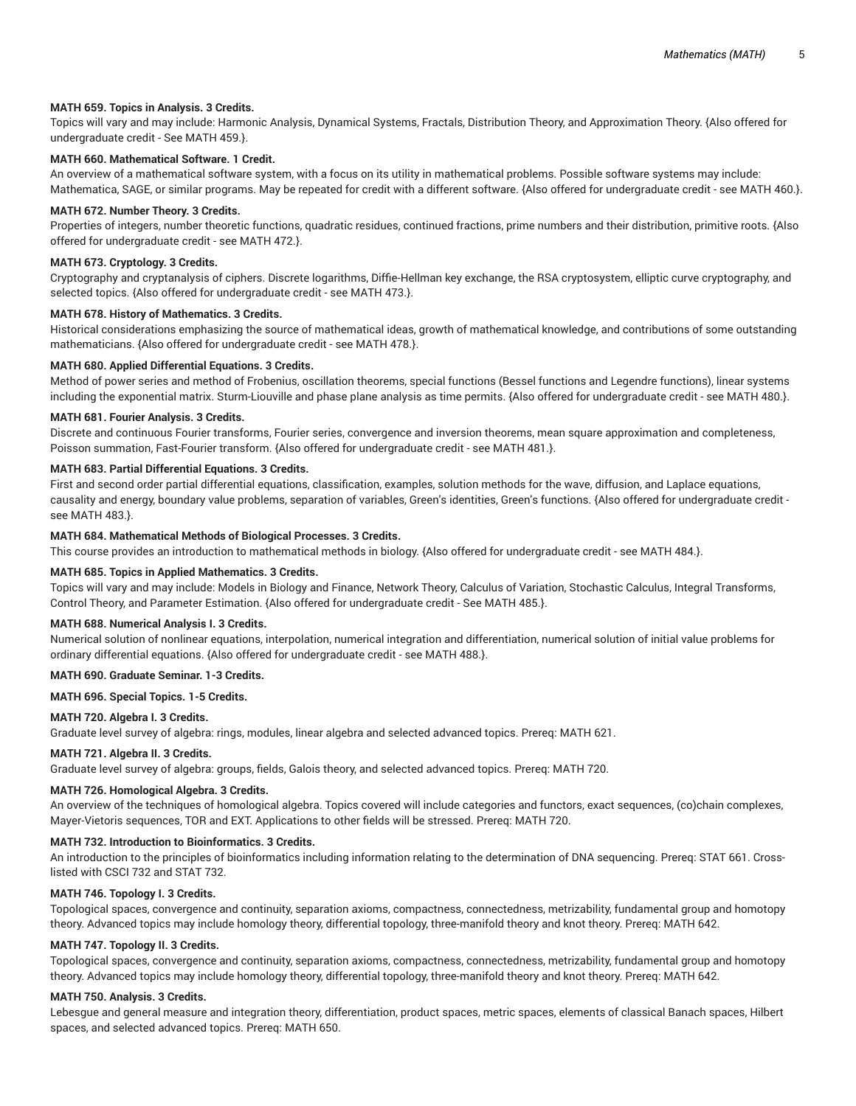#### **MATH 659. Topics in Analysis. 3 Credits.**

Topics will vary and may include: Harmonic Analysis, Dynamical Systems, Fractals, Distribution Theory, and Approximation Theory. {Also offered for undergraduate credit - See MATH 459.}.

## **MATH 660. Mathematical Software. 1 Credit.**

An overview of a mathematical software system, with a focus on its utility in mathematical problems. Possible software systems may include: Mathematica, SAGE, or similar programs. May be repeated for credit with a different software. {Also offered for undergraduate credit - see MATH 460.}.

#### **MATH 672. Number Theory. 3 Credits.**

Properties of integers, number theoretic functions, quadratic residues, continued fractions, prime numbers and their distribution, primitive roots. {Also offered for undergraduate credit - see MATH 472.}.

## **MATH 673. Cryptology. 3 Credits.**

Cryptography and cryptanalysis of ciphers. Discrete logarithms, Diffie-Hellman key exchange, the RSA cryptosystem, elliptic curve cryptography, and selected topics. {Also offered for undergraduate credit - see MATH 473.}.

## **MATH 678. History of Mathematics. 3 Credits.**

Historical considerations emphasizing the source of mathematical ideas, growth of mathematical knowledge, and contributions of some outstanding mathematicians. {Also offered for undergraduate credit - see MATH 478.}.

#### **MATH 680. Applied Differential Equations. 3 Credits.**

Method of power series and method of Frobenius, oscillation theorems, special functions (Bessel functions and Legendre functions), linear systems including the exponential matrix. Sturm-Liouville and phase plane analysis as time permits. {Also offered for undergraduate credit - see MATH 480.}.

### **MATH 681. Fourier Analysis. 3 Credits.**

Discrete and continuous Fourier transforms, Fourier series, convergence and inversion theorems, mean square approximation and completeness, Poisson summation, Fast-Fourier transform. {Also offered for undergraduate credit - see MATH 481.}.

# **MATH 683. Partial Differential Equations. 3 Credits.**

First and second order partial differential equations, classification, examples, solution methods for the wave, diffusion, and Laplace equations, causality and energy, boundary value problems, separation of variables, Green's identities, Green's functions. {Also offered for undergraduate credit see MATH 483.}.

#### **MATH 684. Mathematical Methods of Biological Processes. 3 Credits.**

This course provides an introduction to mathematical methods in biology. {Also offered for undergraduate credit - see MATH 484.}.

#### **MATH 685. Topics in Applied Mathematics. 3 Credits.**

Topics will vary and may include: Models in Biology and Finance, Network Theory, Calculus of Variation, Stochastic Calculus, Integral Transforms, Control Theory, and Parameter Estimation. {Also offered for undergraduate credit - See MATH 485.}.

#### **MATH 688. Numerical Analysis I. 3 Credits.**

Numerical solution of nonlinear equations, interpolation, numerical integration and differentiation, numerical solution of initial value problems for ordinary differential equations. {Also offered for undergraduate credit - see MATH 488.}.

## **MATH 690. Graduate Seminar. 1-3 Credits.**

#### **MATH 696. Special Topics. 1-5 Credits.**

#### **MATH 720. Algebra I. 3 Credits.**

Graduate level survey of algebra: rings, modules, linear algebra and selected advanced topics. Prereq: MATH 621.

### **MATH 721. Algebra II. 3 Credits.**

Graduate level survey of algebra: groups, fields, Galois theory, and selected advanced topics. Prereq: MATH 720.

#### **MATH 726. Homological Algebra. 3 Credits.**

An overview of the techniques of homological algebra. Topics covered will include categories and functors, exact sequences, (co)chain complexes, Mayer-Vietoris sequences, TOR and EXT. Applications to other fields will be stressed. Prereq: MATH 720.

#### **MATH 732. Introduction to Bioinformatics. 3 Credits.**

An introduction to the principles of bioinformatics including information relating to the determination of DNA sequencing. Prereq: STAT 661. Crosslisted with CSCI 732 and STAT 732.

#### **MATH 746. Topology I. 3 Credits.**

Topological spaces, convergence and continuity, separation axioms, compactness, connectedness, metrizability, fundamental group and homotopy theory. Advanced topics may include homology theory, differential topology, three-manifold theory and knot theory. Prereq: MATH 642.

### **MATH 747. Topology II. 3 Credits.**

Topological spaces, convergence and continuity, separation axioms, compactness, connectedness, metrizability, fundamental group and homotopy theory. Advanced topics may include homology theory, differential topology, three-manifold theory and knot theory. Prereq: MATH 642.

### **MATH 750. Analysis. 3 Credits.**

Lebesgue and general measure and integration theory, differentiation, product spaces, metric spaces, elements of classical Banach spaces, Hilbert spaces, and selected advanced topics. Prereq: MATH 650.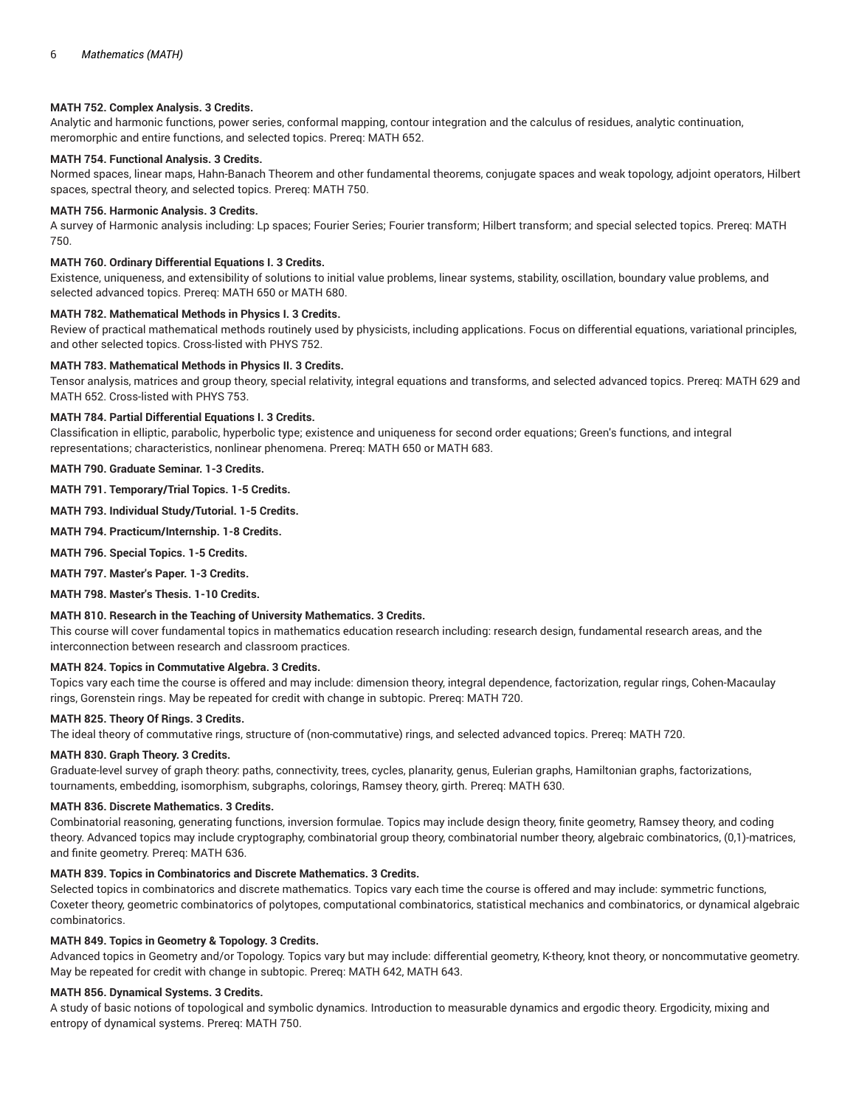### **MATH 752. Complex Analysis. 3 Credits.**

Analytic and harmonic functions, power series, conformal mapping, contour integration and the calculus of residues, analytic continuation, meromorphic and entire functions, and selected topics. Prereq: MATH 652.

# **MATH 754. Functional Analysis. 3 Credits.**

Normed spaces, linear maps, Hahn-Banach Theorem and other fundamental theorems, conjugate spaces and weak topology, adjoint operators, Hilbert spaces, spectral theory, and selected topics. Prereq: MATH 750.

#### **MATH 756. Harmonic Analysis. 3 Credits.**

A survey of Harmonic analysis including: Lp spaces; Fourier Series; Fourier transform; Hilbert transform; and special selected topics. Prereq: MATH 750.

## **MATH 760. Ordinary Differential Equations I. 3 Credits.**

Existence, uniqueness, and extensibility of solutions to initial value problems, linear systems, stability, oscillation, boundary value problems, and selected advanced topics. Prereq: MATH 650 or MATH 680.

### **MATH 782. Mathematical Methods in Physics I. 3 Credits.**

Review of practical mathematical methods routinely used by physicists, including applications. Focus on differential equations, variational principles, and other selected topics. Cross-listed with PHYS 752.

#### **MATH 783. Mathematical Methods in Physics II. 3 Credits.**

Tensor analysis, matrices and group theory, special relativity, integral equations and transforms, and selected advanced topics. Prereq: MATH 629 and MATH 652. Cross-listed with PHYS 753.

#### **MATH 784. Partial Differential Equations I. 3 Credits.**

Classification in elliptic, parabolic, hyperbolic type; existence and uniqueness for second order equations; Green's functions, and integral representations; characteristics, nonlinear phenomena. Prereq: MATH 650 or MATH 683.

**MATH 790. Graduate Seminar. 1-3 Credits.**

**MATH 791. Temporary/Trial Topics. 1-5 Credits.**

**MATH 793. Individual Study/Tutorial. 1-5 Credits.**

**MATH 794. Practicum/Internship. 1-8 Credits.**

**MATH 796. Special Topics. 1-5 Credits.**

**MATH 797. Master's Paper. 1-3 Credits.**

**MATH 798. Master's Thesis. 1-10 Credits.**

## **MATH 810. Research in the Teaching of University Mathematics. 3 Credits.**

This course will cover fundamental topics in mathematics education research including: research design, fundamental research areas, and the interconnection between research and classroom practices.

## **MATH 824. Topics in Commutative Algebra. 3 Credits.**

Topics vary each time the course is offered and may include: dimension theory, integral dependence, factorization, regular rings, Cohen-Macaulay rings, Gorenstein rings. May be repeated for credit with change in subtopic. Prereq: MATH 720.

## **MATH 825. Theory Of Rings. 3 Credits.**

The ideal theory of commutative rings, structure of (non-commutative) rings, and selected advanced topics. Prereq: MATH 720.

### **MATH 830. Graph Theory. 3 Credits.**

Graduate-level survey of graph theory: paths, connectivity, trees, cycles, planarity, genus, Eulerian graphs, Hamiltonian graphs, factorizations, tournaments, embedding, isomorphism, subgraphs, colorings, Ramsey theory, girth. Prereq: MATH 630.

#### **MATH 836. Discrete Mathematics. 3 Credits.**

Combinatorial reasoning, generating functions, inversion formulae. Topics may include design theory, finite geometry, Ramsey theory, and coding theory. Advanced topics may include cryptography, combinatorial group theory, combinatorial number theory, algebraic combinatorics, (0,1)-matrices, and finite geometry. Prereq: MATH 636.

# **MATH 839. Topics in Combinatorics and Discrete Mathematics. 3 Credits.**

Selected topics in combinatorics and discrete mathematics. Topics vary each time the course is offered and may include: symmetric functions, Coxeter theory, geometric combinatorics of polytopes, computational combinatorics, statistical mechanics and combinatorics, or dynamical algebraic combinatorics.

#### **MATH 849. Topics in Geometry & Topology. 3 Credits.**

Advanced topics in Geometry and/or Topology. Topics vary but may include: differential geometry, K-theory, knot theory, or noncommutative geometry. May be repeated for credit with change in subtopic. Prereq: MATH 642, MATH 643.

## **MATH 856. Dynamical Systems. 3 Credits.**

A study of basic notions of topological and symbolic dynamics. Introduction to measurable dynamics and ergodic theory. Ergodicity, mixing and entropy of dynamical systems. Prereq: MATH 750.